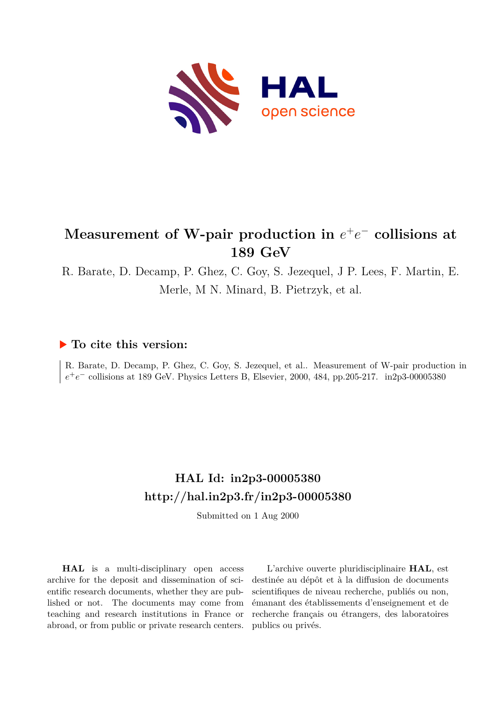

# $M$ easurement of W-pair production in  $e^+e^-$  collisions at **189 GeV**

R. Barate, D. Decamp, P. Ghez, C. Goy, S. Jezequel, J P. Lees, F. Martin, E. Merle, M N. Minard, B. Pietrzyk, et al.

## **To cite this version:**

R. Barate, D. Decamp, P. Ghez, C. Goy, S. Jezequel, et al.. Measurement of W-pair production in  $e^+e^-$  collisions at 189 GeV. Physics Letters B, Elsevier, 2000, 484, pp.205-217. in2p3-00005380

# **HAL Id: in2p3-00005380 <http://hal.in2p3.fr/in2p3-00005380>**

Submitted on 1 Aug 2000

**HAL** is a multi-disciplinary open access archive for the deposit and dissemination of scientific research documents, whether they are published or not. The documents may come from teaching and research institutions in France or abroad, or from public or private research centers.

L'archive ouverte pluridisciplinaire **HAL**, est destinée au dépôt et à la diffusion de documents scientifiques de niveau recherche, publiés ou non, émanant des établissements d'enseignement et de recherche français ou étrangers, des laboratoires publics ou privés.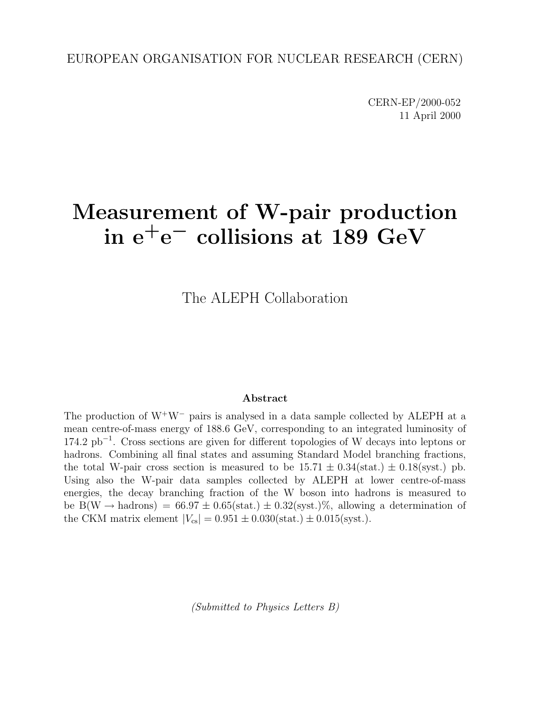CERN-EP/2000-052 11 April 2000

# **Measurement of W-pair production in e+e***<sup>−</sup>* **collisions at 189 GeV**

The ALEPH Collaboration

#### **Abstract**

The production of  $W^+W^-$  pairs is analysed in a data sample collected by ALEPH at a mean centre-of-mass energy of 188.6 GeV, corresponding to an integrated luminosity of 174.2 pb−<sup>1</sup> . Cross sections are given for different topologies of W decays into leptons or hadrons. Combining all final states and assuming Standard Model branching fractions, the total W-pair cross section is measured to be  $15.71 \pm 0.34$  (stat.)  $\pm 0.18$  (syst.) pb. Using also the W-pair data samples collected by ALEPH at lower centre-of-mass energies, the decay branching fraction of the W boson into hadrons is measured to be B(W  $\rightarrow$  hadrons) = 66.97  $\pm$  0.65(stat.)  $\pm$  0.32(syst.)%, allowing a determination of the CKM matrix element  $|V_{cs}| = 0.951 \pm 0.030(\text{stat.}) \pm 0.015(\text{syst.}).$ 

(Submitted to Physics Letters B)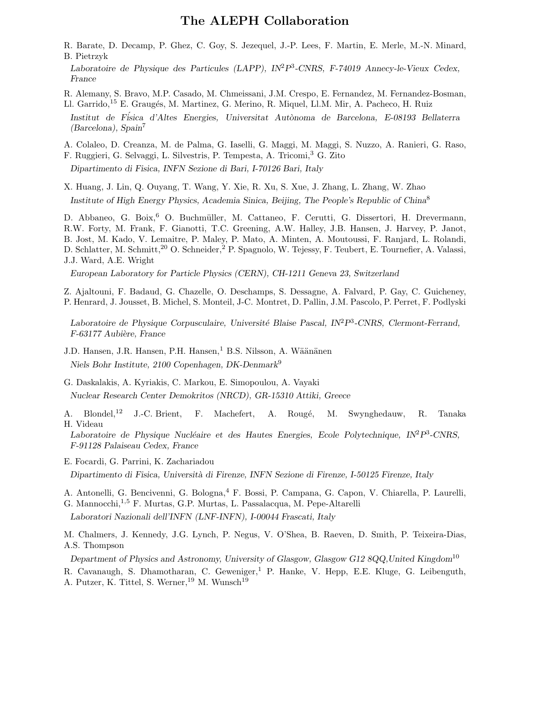#### **The ALEPH Collaboration**

- R. Barate, D. Decamp, P. Ghez, C. Goy, S. Jezequel, J.-P. Lees, F. Martin, E. Merle, M.-N. Minard, B. Pietrzyk
- *Laboratoire de Physique des Particules (LAPP), IN*<sup>2</sup>*P*<sup>3</sup>*-CNRS, F-74019 Annecy-le-Vieux Cedex, France*

R. Alemany, S. Bravo, M.P. Casado, M. Chmeissani, J.M. Crespo, E. Fernandez, M. Fernandez-Bosman, Ll. Garrido,<sup>15</sup> E. Graugés, M. Martinez, G. Merino, R. Miquel, Ll.M. Mir, A. Pacheco, H. Ruiz

*Institut de F´isica d'Altes Energies, Universitat Aut`onoma de Barcelona, E-08193 Bellaterra (Barcelona), Spain*<sup>7</sup>

A. Colaleo, D. Creanza, M. de Palma, G. Iaselli, G. Maggi, M. Maggi, S. Nuzzo, A. Ranieri, G. Raso,

F. Ruggieri, G. Selvaggi, L. Silvestris, P. Tempesta, A. Tricomi,<sup>3</sup> G. Zito

*Dipartimento di Fisica, INFN Sezione di Bari, I-70126 Bari, Italy*

X. Huang, J. Lin, Q. Ouyang, T. Wang, Y. Xie, R. Xu, S. Xue, J. Zhang, L. Zhang, W. Zhao *Institute of High Energy Physics, Academia Sinica, Beijing, The People's Republic of China*<sup>8</sup>

D. Abbaneo, G. Boix,<sup>6</sup> O. Buchmüller, M. Cattaneo, F. Cerutti, G. Dissertori, H. Drevermann, R.W. Forty, M. Frank, F. Gianotti, T.C. Greening, A.W. Halley, J.B. Hansen, J. Harvey, P. Janot, B. Jost, M. Kado, V. Lemaitre, P. Maley, P. Mato, A. Minten, A. Moutoussi, F. Ranjard, L. Rolandi, D. Schlatter, M. Schmitt,<sup>20</sup> O. Schneider,<sup>2</sup> P. Spagnolo, W. Tejessy, F. Teubert, E. Tournefier, A. Valassi, J.J. Ward, A.E. Wright

*European Laboratory for Particle Physics (CERN), CH-1211 Geneva 23, Switzerland*

Z. Ajaltouni, F. Badaud, G. Chazelle, O. Deschamps, S. Dessagne, A. Falvard, P. Gay, C. Guicheney, P. Henrard, J. Jousset, B. Michel, S. Monteil, J-C. Montret, D. Pallin, J.M. Pascolo, P. Perret, F. Podlyski

*Laboratoire de Physique Corpusculaire, Universit´e Blaise Pascal, IN*<sup>2</sup>*P*<sup>3</sup>*-CNRS, Clermont-Ferrand, F-63177 Aubi`ere, France*

- J.D. Hansen, J.R. Hansen, P.H. Hansen,<sup>1</sup> B.S. Nilsson, A. Wäänänen *Niels Bohr Institute, 2100 Copenhagen, DK-Denmark*<sup>9</sup>
- G. Daskalakis, A. Kyriakis, C. Markou, E. Simopoulou, A. Vayaki *Nuclear Research Center Demokritos (NRCD), GR-15310 Attiki, Greece*
- A. Blondel,<sup>12</sup> J.-C. Brient, F. Machefert, A. Rougé, M. Swynghedauw, R. Tanaka H. Videau

Laboratoire de Physique Nucléaire et des Hautes Energies, Ecole Polytechnique, IN<sup>2</sup>P<sup>3</sup>-CNRS, *F-91128 Palaiseau Cedex, France*

- E. Focardi, G. Parrini, K. Zachariadou *Dipartimento di Fisica, Universit`a di Firenze, INFN Sezione di Firenze, I-50125 Firenze, Italy*
- A. Antonelli, G. Bencivenni, G. Bologna,<sup>4</sup> F. Bossi, P. Campana, G. Capon, V. Chiarella, P. Laurelli,
- G. Mannocchi,<sup>1</sup>,<sup>5</sup> F. Murtas, G.P. Murtas, L. Passalacqua, M. Pepe-Altarelli

*Laboratori Nazionali dell'INFN (LNF-INFN), I-00044 Frascati, Italy*

M. Chalmers, J. Kennedy, J.G. Lynch, P. Negus, V. O'Shea, B. Raeven, D. Smith, P. Teixeira-Dias, A.S. Thompson

*Department of Physics and Astronomy, University of Glasgow, Glasgow G12 8QQ,United Kingdom*<sup>10</sup> R. Cavanaugh, S. Dhamotharan, C. Geweniger,<sup>1</sup> P. Hanke, V. Hepp, E.E. Kluge, G. Leibenguth, A. Putzer, K. Tittel, S. Werner, <sup>19</sup> M. Wunsch<sup>19</sup>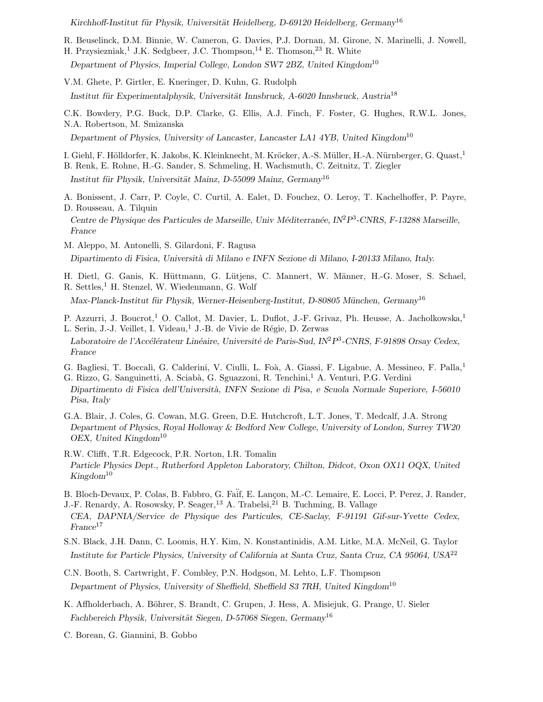*Kirchhoff-Institut f¨ur Physik, Universit¨at Heidelberg, D-69120 Heidelberg, Germany*<sup>16</sup>

- R. Beuselinck, D.M. Binnie, W. Cameron, G. Davies, P.J. Dornan, M. Girone, N. Marinelli, J. Nowell,
- H. Przysiezniak,<sup>1</sup> J.K. Sedgbeer, J.C. Thompson,<sup>14</sup> E. Thomson,<sup>23</sup> R. White

*Department of Physics, Imperial College, London SW7 2BZ, United Kingdom*<sup>10</sup>

V.M. Ghete, P. Girtler, E. Kneringer, D. Kuhn, G. Rudolph

*Institut für Experimentalphysik, Universität Innsbruck, A-6020 Innsbruck, Austria*<sup>18</sup>

C.K. Bowdery, P.G. Buck, D.P. Clarke, G. Ellis, A.J. Finch, F. Foster, G. Hughes, R.W.L. Jones, N.A. Robertson, M. Smizanska

*Department of Physics, University of Lancaster, Lancaster LA1 4YB, United Kingdom*<sup>10</sup>

I. Giehl, F. Hölldorfer, K. Jakobs, K. Kleinknecht, M. Kröcker, A.-S. Müller, H.-A. Nürnberger, G. Quast,<sup>1</sup>

- B. Renk, E. Rohne, H.-G. Sander, S. Schmeling, H. Wachsmuth, C. Zeitnitz, T. Ziegler *Institut f¨ur Physik, Universit¨at Mainz, D-55099 Mainz, Germany*<sup>16</sup>
- A. Bonissent, J. Carr, P. Coyle, C. Curtil, A. Ealet, D. Fouchez, O. Leroy, T. Kachelhoffer, P. Payre, D. Rousseau, A. Tilquin

*Centre de Physique des Particules de Marseille, Univ M´editerran´ee, IN*<sup>2</sup>*P*<sup>3</sup>*-CNRS, F-13288 Marseille, France*

- M. Aleppo, M. Antonelli, S. Gilardoni, F. Ragusa *Dipartimento di Fisica, Universit`a di Milano e INFN Sezione di Milano, I-20133 Milano, Italy.*
- H. Dietl, G. Ganis, K. Hüttmann, G. Lütjens, C. Mannert, W. Männer, H.-G. Moser, S. Schael, R. Settles,<sup>1</sup> H. Stenzel, W. Wiedenmann, G. Wolf

*Max-Planck-Institut f¨ur Physik, Werner-Heisenberg-Institut, D-80805 M¨unchen, Germany*<sup>16</sup>

- P. Azzurri, J. Boucrot,<sup>1</sup> O. Callot, M. Davier, L. Duflot, J.-F. Grivaz, Ph. Heusse, A. Jacholkowska,<sup>1</sup> L. Serin, J.-J. Veillet, I. Videau,<sup>1</sup> J.-B. de Vivie de Régie, D. Zerwas
- Laboratoire de l'Accélérateur Linéaire, Université de Paris-Sud, IN<sup>2</sup>P<sup>3</sup>-CNRS, F-91898 Orsay Cedex, *France*
- G. Bagliesi, T. Boccali, G. Calderini, V. Ciulli, L. Foà, A. Giassi, F. Ligabue, A. Messineo, F. Palla,<sup>1</sup> G. Rizzo, G. Sanguinetti, A. Sciabà, G. Sguazzoni, R. Tenchini,<sup>1</sup> A. Venturi, P.G. Verdini
- *Dipartimento di Fisica dell'Universit`a, INFN Sezione di Pisa, e Scuola Normale Superiore, I-56010 Pisa, Italy*
- G.A. Blair, J. Coles, G. Cowan, M.G. Green, D.E. Hutchcroft, L.T. Jones, T. Medcalf, J.A. Strong *Department of Physics, Royal Holloway & Bedford New College, University of London, Surrey TW20 OEX, United Kingdom*<sup>10</sup>
- R.W. Clifft, T.R. Edgecock, P.R. Norton, I.R. Tomalin *Particle Physics Dept., Rutherford Appleton Laboratory, Chilton, Didcot, Oxon OX11 OQX, United Kingdom*<sup>10</sup>
- B. Bloch-Devaux, P. Colas, B. Fabbro, G. Faif, E. Lançon, M.-C. Lemaire, E. Locci, P. Perez, J. Rander, J.-F. Renardy, A. Rosowsky, P. Seager,<sup>13</sup> A. Trabelsi,<sup>21</sup> B. Tuchming, B. Vallage
- *CEA, DAPNIA/Service de Physique des Particules, CE-Saclay, F-91191 Gif-sur-Yvette Cedex, France*<sup>17</sup>
- S.N. Black, J.H. Dann, C. Loomis, H.Y. Kim, N. Konstantinidis, A.M. Litke, M.A. McNeil, G. Taylor *Institute for Particle Physics, University of California at Santa Cruz, Santa Cruz, CA 95064, USA*<sup>22</sup>
- C.N. Booth, S. Cartwright, F. Combley, P.N. Hodgson, M. Lehto, L.F. Thompson *Department of Physics, University of Sheffield, Sheffield S3 7RH, United Kingdom*<sup>10</sup>
- K. Affholderbach, A. Böhrer, S. Brandt, C. Grupen, J. Hess, A. Misiejuk, G. Prange, U. Sieler *Fachbereich Physik, Universit¨at Siegen, D-57068 Siegen, Germany*<sup>16</sup>

C. Borean, G. Giannini, B. Gobbo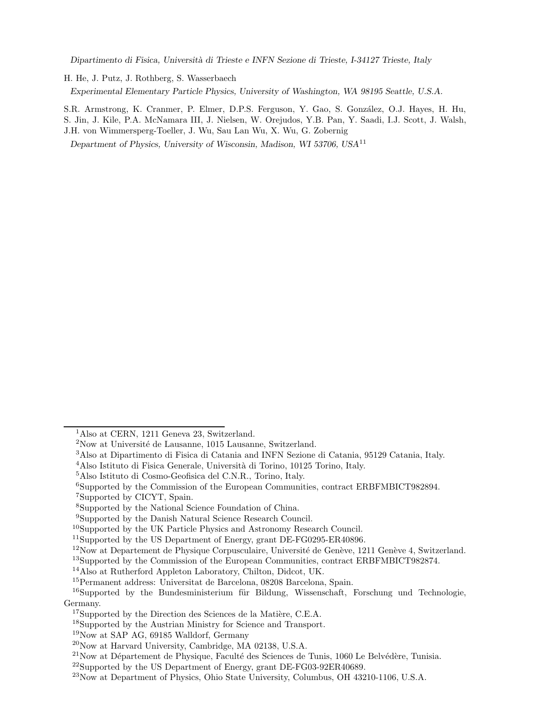*Dipartimento di Fisica, Universit`a di Trieste e INFN Sezione di Trieste, I-34127 Trieste, Italy*

H. He, J. Putz, J. Rothberg, S. Wasserbaech

*Experimental Elementary Particle Physics, University of Washington, WA 98195 Seattle, U.S.A.*

S.R. Armstrong, K. Cranmer, P. Elmer, D.P.S. Ferguson, Y. Gao, S. González, O.J. Hayes, H. Hu, S. Jin, J. Kile, P.A. McNamara III, J. Nielsen, W. Orejudos, Y.B. Pan, Y. Saadi, I.J. Scott, J. Walsh, J.H. von Wimmersperg-Toeller, J. Wu, Sau Lan Wu, X. Wu, G. Zobernig

*Department of Physics, University of Wisconsin, Madison, WI 53706, USA*<sup>11</sup>

<sup>&</sup>lt;sup>1</sup>Also at CERN, 1211 Geneva 23, Switzerland.

 $2$ Now at Université de Lausanne, 1015 Lausanne, Switzerland.

<sup>3</sup>Also at Dipartimento di Fisica di Catania and INFN Sezione di Catania, 95129 Catania, Italy.

<sup>&</sup>lt;sup>4</sup>Also Istituto di Fisica Generale, Università di Torino, 10125 Torino, Italy.

<sup>5</sup>Also Istituto di Cosmo-Geofisica del C.N.R., Torino, Italy.

<sup>6</sup>Supported by the Commission of the European Communities, contract ERBFMBICT982894.

<sup>7</sup>Supported by CICYT, Spain.

<sup>8</sup>Supported by the National Science Foundation of China.

<sup>9</sup>Supported by the Danish Natural Science Research Council.

<sup>&</sup>lt;sup>10</sup>Supported by the UK Particle Physics and Astronomy Research Council.

<sup>&</sup>lt;sup>11</sup>Supported by the US Department of Energy, grant DE-FG0295-ER40896.

 $12\text{Now at Department de Physique Corpusculaire, Université de Genève, 1211 Genève 4, Switzerland.}$ 

<sup>13</sup>Supported by the Commission of the European Communities, contract ERBFMBICT982874.

<sup>14</sup>Also at Rutherford Appleton Laboratory, Chilton, Didcot, UK.

<sup>15</sup>Permanent address: Universitat de Barcelona, 08208 Barcelona, Spain.

 $^{16}$ Supported by the Bundesministerium für Bildung, Wissenschaft, Forschung und Technologie, Germany.

 $17$ Supported by the Direction des Sciences de la Matière, C.E.A.

<sup>18</sup>Supported by the Austrian Ministry for Science and Transport.

<sup>19</sup>Now at SAP AG, 69185 Walldorf, Germany

<sup>20</sup>Now at Harvard University, Cambridge, MA 02138, U.S.A.

 $^{21}$ Now at Département de Physique, Faculté des Sciences de Tunis, 1060 Le Belvédère, Tunisia.

<sup>22</sup>Supported by the US Department of Energy, grant DE-FG03-92ER40689.

<sup>23</sup>Now at Department of Physics, Ohio State University, Columbus, OH 43210-1106, U.S.A.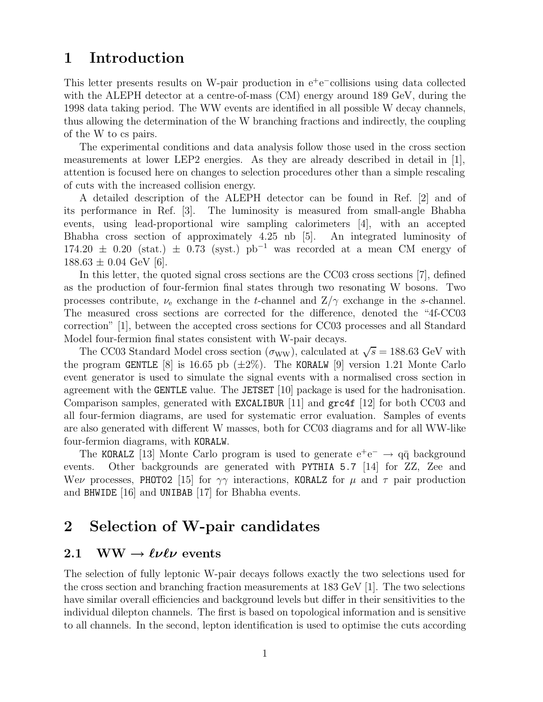# **1 Introduction**

This letter presents results on W-pair production in e<sup>+</sup>e<sup>−</sup>collisions using data collected with the ALEPH detector at a centre-of-mass (CM) energy around 189 GeV, during the 1998 data taking period. The WW events are identified in all possible W decay channels, thus allowing the determination of the W branching fractions and indirectly, the coupling of the W to cs pairs.

The experimental conditions and data analysis follow those used in the cross section measurements at lower LEP2 energies. As they are already described in detail in [1], attention is focused here on changes to selection procedures other than a simple rescaling of cuts with the increased collision energy.

A detailed description of the ALEPH detector can be found in Ref. [2] and of its performance in Ref. [3]. The luminosity is measured from small-angle Bhabha events, using lead-proportional wire sampling calorimeters [4], with an accepted Bhabha cross section of approximately 4.25 nb [5]. An integrated luminosity of  $174.20 \pm 0.20$  (stat.)  $\pm$  0.73 (syst.) pb<sup>-1</sup> was recorded at a mean CM energy of  $188.63 \pm 0.04$  GeV [6].

In this letter, the quoted signal cross sections are the CC03 cross sections [7], defined as the production of four-fermion final states through two resonating W bosons. Two processes contribute,  $\nu_e$  exchange in the t-channel and  $Z/\gamma$  exchange in the s-channel. The measured cross sections are corrected for the difference, denoted the "4f-CC03 correction" [1], between the accepted cross sections for CC03 processes and all Standard Model four-fermion final states consistent with W-pair decays.

The CC03 Standard Model cross section ( $\sigma_{WW}$ ), calculated at  $\sqrt{s} = 188.63$  GeV with the program GENTLE [8] is 16.65 pb  $(\pm 2\%)$ . The KORALW [9] version 1.21 Monte Carlo event generator is used to simulate the signal events with a normalised cross section in agreement with the GENTLE value. The JETSET [10] package is used for the hadronisation. Comparison samples, generated with EXCALIBUR [11] and grc4f [12] for both CC03 and all four-fermion diagrams, are used for systematic error evaluation. Samples of events are also generated with different W masses, both for CC03 diagrams and for all WW-like four-fermion diagrams, with KORALW.

The KORALZ [13] Monte Carlo program is used to generate  $e^+e^- \rightarrow q\bar{q}$  background events. Other backgrounds are generated with PYTHIA 5.7 [14] for ZZ. Zee and Other backgrounds are generated with PYTHIA 5.7 [14] for  $ZZ$ , Zee and Wev processes, PHOTO2 [15] for  $\gamma\gamma$  interactions, KORALZ for  $\mu$  and  $\tau$  pair production and BHWIDE [16] and UNIBAB [17] for Bhabha events.

# **2 Selection of W-pair candidates**

#### **2.1** WW  $\rightarrow \ell\nu\ell\nu$  events

The selection of fully leptonic W-pair decays follows exactly the two selections used for the cross section and branching fraction measurements at 183 GeV [1]. The two selections have similar overall efficiencies and background levels but differ in their sensitivities to the individual dilepton channels. The first is based on topological information and is sensitive to all channels. In the second, lepton identification is used to optimise the cuts according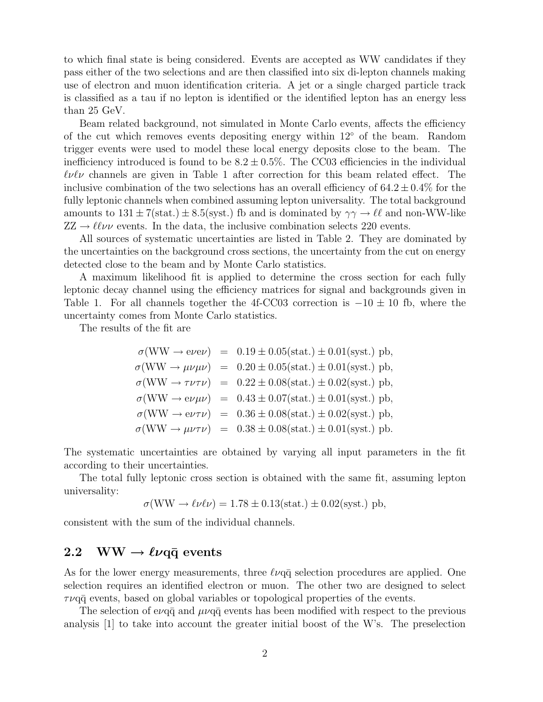to which final state is being considered. Events are accepted as WW candidates if they pass either of the two selections and are then classified into six di-lepton channels making use of electron and muon identification criteria. A jet or a single charged particle track is classified as a tau if no lepton is identified or the identified lepton has an energy less than 25 GeV.

Beam related background, not simulated in Monte Carlo events, affects the efficiency of the cut which removes events depositing energy within 12◦ of the beam. Random trigger events were used to model these local energy deposits close to the beam. The inefficiency introduced is found to be  $8.2 \pm 0.5\%$ . The CC03 efficiencies in the individual  $\ell\nu\ell\nu$  channels are given in Table 1 after correction for this beam related effect. The inclusive combination of the two selections has an overall efficiency of  $64.2 \pm 0.4\%$  for the fully leptonic channels when combined assuming lepton universality. The total background amounts to  $131 \pm 7(\text{stat.}) \pm 8.5(\text{syst.})$  fb and is dominated by  $\gamma \gamma \rightarrow \ell \ell$  and non-WW-like  $ZZ \rightarrow \ell \ell \nu \nu$  events. In the data, the inclusive combination selects 220 events.

All sources of systematic uncertainties are listed in Table 2. They are dominated by the uncertainties on the background cross sections, the uncertainty from the cut on energy detected close to the beam and by Monte Carlo statistics.

A maximum likelihood fit is applied to determine the cross section for each fully leptonic decay channel using the efficiency matrices for signal and backgrounds given in Table 1. For all channels together the 4f-CC03 correction is  $-10 \pm 10$  fb, where the uncertainty comes from Monte Carlo statistics.

The results of the fit are

$$
\sigma(WW \rightarrow e\nu e\nu) = 0.19 \pm 0.05 \text{(stat.)} \pm 0.01 \text{(syst.)} \text{ pb},
$$
  
\n
$$
\sigma(WW \rightarrow \mu\nu\mu\nu) = 0.20 \pm 0.05 \text{(stat.)} \pm 0.01 \text{(syst.)} \text{ pb},
$$
  
\n
$$
\sigma(WW \rightarrow \tau\nu\tau\nu) = 0.22 \pm 0.08 \text{(stat.)} \pm 0.02 \text{(syst.)} \text{ pb},
$$
  
\n
$$
\sigma(WW \rightarrow e\nu\mu\nu) = 0.43 \pm 0.07 \text{(stat.)} \pm 0.01 \text{(syst.)} \text{ pb},
$$
  
\n
$$
\sigma(WW \rightarrow e\nu\tau\nu) = 0.36 \pm 0.08 \text{(stat.)} \pm 0.02 \text{(syst.)} \text{ pb},
$$
  
\n
$$
\sigma(WW \rightarrow \mu\nu\tau\nu) = 0.38 \pm 0.08 \text{(stat.)} \pm 0.01 \text{(syst.)} \text{ pb}.
$$

The systematic uncertainties are obtained by varying all input parameters in the fit according to their uncertainties.

The total fully leptonic cross section is obtained with the same fit, assuming lepton universality:

$$
\sigma(WW \to \ell\nu\ell\nu) = 1.78 \pm 0.13 \text{(stat.)} \pm 0.02 \text{(syst.) pb},
$$

consistent with the sum of the individual channels.

## 2.2 WW  $\rightarrow \ell\nu$ *q* $\bar{q}$  events

As for the lower energy measurements, three  $\ell\nu q\bar{q}$  selection procedures are applied. One selection requires an identified electron or muon. The other two are designed to select  $\tau\nu$ q $\bar{q}$  events, based on global variables or topological properties of the events.

The selection of eva $\bar{q}$  and  $\mu\nu q\bar{q}$  events has been modified with respect to the previous analysis [1] to take into account the greater initial boost of the W's. The preselection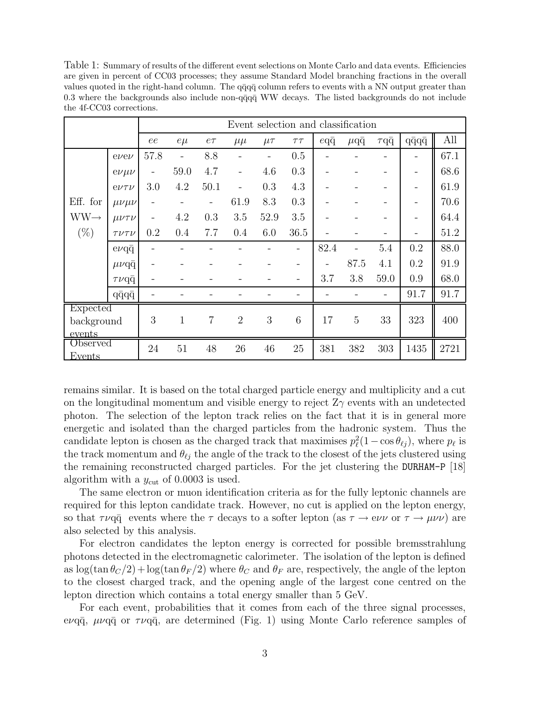Table 1: Summary of results of the different event selections on Monte Carlo and data events. Efficiencies are given in percent of CC03 processes; they assume Standard Model branching fractions in the overall values quoted in the right-hand column. The  $q\bar{q}q\bar{q}$  column refers to events with a NN output greater than 0.3 where the backgrounds also include non-q $\bar{q}q\bar{q}$  WW decays. The listed backgrounds do not include the 4f-CC03 corrections.

|                    |                    | Event selection and classification |                          |                          |                |                          |            |             |                   |                 |                          |      |  |
|--------------------|--------------------|------------------------------------|--------------------------|--------------------------|----------------|--------------------------|------------|-------------|-------------------|-----------------|--------------------------|------|--|
|                    |                    | ee                                 | $e\mu$                   | $e\tau$                  | $\mu\mu$       | $\mu\tau$                | $\tau\tau$ | $eq\bar{q}$ | $\mu$ q $\bar{q}$ | $\tau q\bar{q}$ | $q\bar{q}q\bar{q}$       | All  |  |
|                    | $e\nu e\nu$        | 57.8                               | $\overline{\phantom{0}}$ | 8.8                      |                | $\overline{\phantom{0}}$ | 0.5        |             |                   |                 | $\overline{a}$           | 67.1 |  |
|                    | $e\nu\mu\nu$       |                                    | 59.0                     | 4.7                      |                | 4.6                      | 0.3        |             |                   |                 | $\overline{\phantom{0}}$ | 68.6 |  |
|                    | $e\nu\tau\nu$      | 3.0                                | 4.2                      | 50.1                     |                | 0.3                      | 4.3        |             |                   |                 | $\overline{a}$           | 61.9 |  |
| Eff. for           | $\mu\nu\mu\nu$     |                                    |                          | $\overline{\phantom{0}}$ | 61.9           | 8.3                      | 0.3        |             |                   |                 | $\overline{a}$           | 70.6 |  |
| $WW \rightarrow$   | $\mu\nu\tau\nu$    |                                    | 4.2                      | 0.3                      | 3.5            | 52.9                     | 3.5        |             |                   |                 | $\overline{\phantom{0}}$ | 64.4 |  |
| $(\% )$            | $T \nu T \nu$      | 0.2                                | 0.4                      | 7.7                      | 0.4            | 6.0                      | 36.5       |             |                   |                 | -                        | 51.2 |  |
|                    | $evq\bar{q}$       |                                    |                          |                          |                |                          |            | 82.4        |                   | 5.4             | 0.2                      | 88.0 |  |
|                    | $\mu\nu$ qq        |                                    |                          |                          |                |                          | -          |             | 87.5              | 4.1             | 0.2                      | 91.9 |  |
|                    | $\tau\nu q\bar{q}$ |                                    |                          |                          |                |                          |            | 3.7         | 3.8               | 59.0            | 0.9                      | 68.0 |  |
|                    | $q\bar{q}q\bar{q}$ |                                    |                          |                          |                |                          |            |             |                   |                 | 91.7                     | 91.7 |  |
| Expected           |                    |                                    |                          |                          |                |                          |            |             |                   |                 |                          |      |  |
| background         |                    | 3                                  | 1                        | $\overline{7}$           | $\overline{2}$ | 3                        | 6          | 17          | $\overline{5}$    | 33              | 323                      | 400  |  |
| events<br>Observed |                    |                                    |                          |                          |                |                          |            |             |                   |                 |                          |      |  |
| Events             |                    | 24                                 | 51                       | 48                       | 26             | 46                       | 25         | 381         | 382               | 303             | 1435                     | 2721 |  |

remains similar. It is based on the total charged particle energy and multiplicity and a cut on the longitudinal momentum and visible energy to reject  $Z_{\gamma}$  events with an undetected photon. The selection of the lepton track relies on the fact that it is in general more energetic and isolated than the charged particles from the hadronic system. Thus the candidate lepton is chosen as the charged track that maximises  $p_{\ell}^2(1-\cos\theta_{\ell j})$ , where  $p_{\ell}$  is the track momentum and  $\theta_{\ell j}$  the angle of the track to the closest of the jets clustered using the remaining reconstructed charged particles. For the jet clustering the DURHAM-P [18] algorithm with a  $y_{\text{cut}}$  of 0.0003 is used.

The same electron or muon identification criteria as for the fully leptonic channels are required for this lepton candidate track. However, no cut is applied on the lepton energy, so that  $\tau\nu q\bar{q}$  events where the  $\tau$  decays to a softer lepton (as  $\tau \to e\nu\nu$  or  $\tau \to \mu\nu\nu$ ) are also selected by this analysis.

For electron candidates the lepton energy is corrected for possible bremsstrahlung photons detected in the electromagnetic calorimeter. The isolation of the lepton is defined as  $\log(\tan \theta_C/2) + \log(\tan \theta_F/2)$  where  $\theta_C$  and  $\theta_F$  are, respectively, the angle of the lepton to the closest charged track, and the opening angle of the largest cone centred on the lepton direction which contains a total energy smaller than 5 GeV.

For each event, probabilities that it comes from each of the three signal processes, evq $\bar{q}$ ,  $\mu\nu q\bar{q}$  or  $\tau\nu q\bar{q}$ , are determined (Fig. 1) using Monte Carlo reference samples of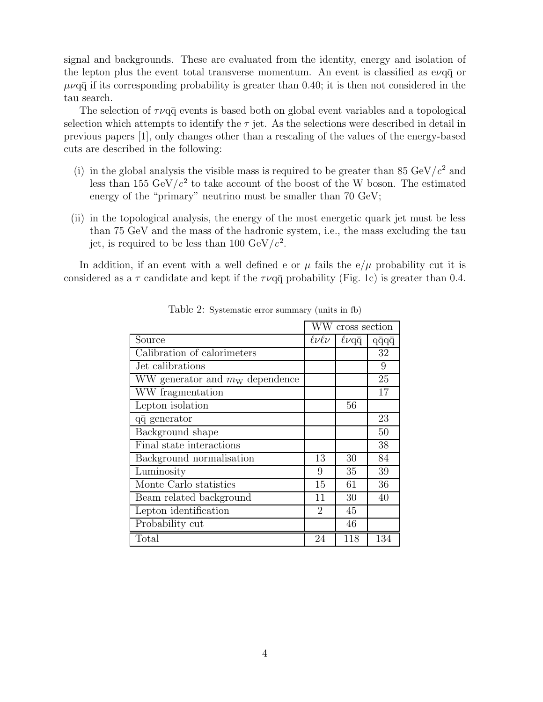signal and backgrounds. These are evaluated from the identity, energy and isolation of the lepton plus the event total transverse momentum. An event is classified as  $e\nu q\bar{q}$  or  $\mu\nu$ q $\bar{q}$  if its corresponding probability is greater than 0.40; it is then not considered in the tau search.

The selection of  $\tau\nu$ q $\bar{q}$  events is based both on global event variables and a topological selection which attempts to identify the  $\tau$  jet. As the selections were described in detail in previous papers [1], only changes other than a rescaling of the values of the energy-based cuts are described in the following:

- (i) in the global analysis the visible mass is required to be greater than 85 GeV/ $c^2$  and less than 155  $GeV/c^2$  to take account of the boost of the W boson. The estimated energy of the "primary" neutrino must be smaller than 70 GeV;
- (ii) in the topological analysis, the energy of the most energetic quark jet must be less than 75 GeV and the mass of the hadronic system, i.e., the mass excluding the tau jet, is required to be less than 100  $\text{GeV}/c^2$ .

In addition, if an event with a well defined e or  $\mu$  fails the e/ $\mu$  probability cut it is considered as a  $\tau$  candidate and kept if the  $\tau\nu$  q $\bar{q}$  probability (Fig. 1c) is greater than 0.4.

|                                   | WW cross section |              |                    |
|-----------------------------------|------------------|--------------|--------------------|
| Source                            | $\ell\nu\ell\nu$ | $\ell\nu$ qq | $q\bar{q}q\bar{q}$ |
| Calibration of calorimeters       |                  |              | 32                 |
| Jet calibrations                  |                  |              | 9                  |
| WW generator and $m_W$ dependence |                  |              | 25                 |
| WW fragmentation                  |                  |              | 17                 |
| Lepton isolation                  |                  | 56           |                    |
| qq generator                      |                  |              | 23                 |
| Background shape                  |                  |              | 50                 |
| Final state interactions          |                  |              | 38                 |
| Background normalisation          | 13               | 30           | 84                 |
| Luminosity                        | 9                | 35           | 39                 |
| Monte Carlo statistics            | 15               | 61           | 36                 |
| Beam related background           | 11               | 30           | 40                 |
| Lepton identification             | $\overline{2}$   | 45           |                    |
| Probability cut                   |                  | 46           |                    |
| Total                             | 24               | 118          | 134                |

Table 2: Systematic error summary (units in fb)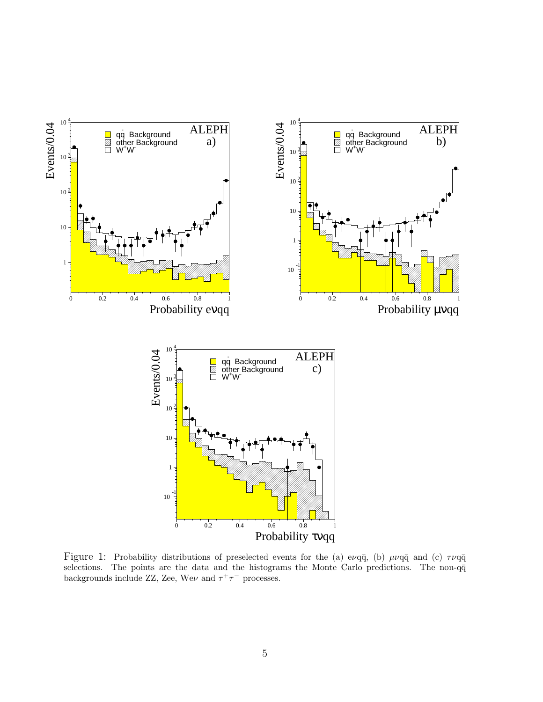

Figure 1: Probability distributions of preselected events for the (a) evq $\bar{q}$ , (b)  $\mu\nu q\bar{q}$  and (c)  $\tau\nu q\bar{q}$ selections. The points are the data and the histograms the Monte Carlo predictions. The non-q $\bar{q}$ backgrounds include ZZ, Zee, We $\nu$  and  $\tau^+\tau^-$  processes.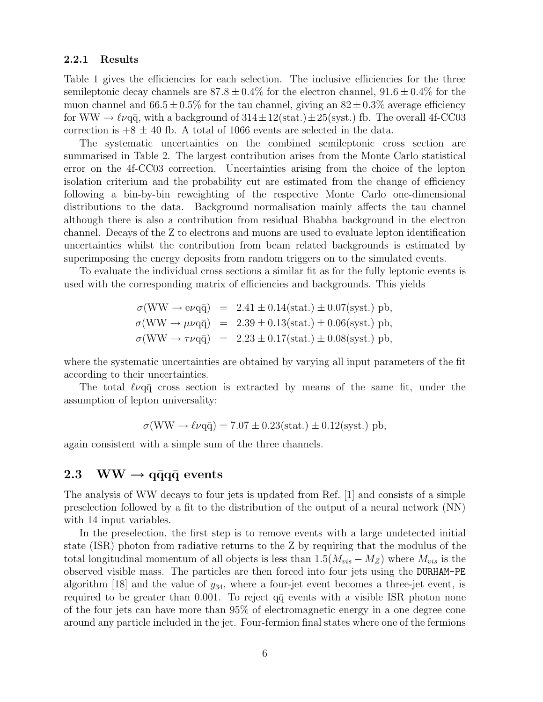#### **2.2.1 Results**

Table 1 gives the efficiencies for each selection. The inclusive efficiencies for the three semileptonic decay channels are  $87.8 \pm 0.4\%$  for the electron channel,  $91.6 \pm 0.4\%$  for the muon channel and  $66.5 \pm 0.5\%$  for the tau channel, giving an  $82 \pm 0.3\%$  average efficiency for WW  $\rightarrow \ell \nu q \bar{q}$ , with a background of  $314 \pm 12(\text{stat.}) \pm 25(\text{syst.})$  fb. The overall 4f-CC03 correction is  $+8 \pm 40$  fb. A total of 1066 events are selected in the data.

The systematic uncertainties on the combined semileptonic cross section are summarised in Table 2. The largest contribution arises from the Monte Carlo statistical error on the 4f-CC03 correction. Uncertainties arising from the choice of the lepton isolation criterium and the probability cut are estimated from the change of efficiency following a bin-by-bin reweighting of the respective Monte Carlo one-dimensional distributions to the data. Background normalisation mainly affects the tau channel although there is also a contribution from residual Bhabha background in the electron channel. Decays of the Z to electrons and muons are used to evaluate lepton identification uncertainties whilst the contribution from beam related backgrounds is estimated by superimposing the energy deposits from random triggers on to the simulated events.

To evaluate the individual cross sections a similar fit as for the fully leptonic events is used with the corresponding matrix of efficiencies and backgrounds. This yields

$$
\sigma(WW \rightarrow e\nu q\bar{q}) = 2.41 \pm 0.14 \text{(stat.)} \pm 0.07 \text{(syst.)} \text{ pb},
$$
  

$$
\sigma(WW \rightarrow \mu\nu q\bar{q}) = 2.39 \pm 0.13 \text{(stat.)} \pm 0.06 \text{(syst.)} \text{ pb},
$$
  

$$
\sigma(WW \rightarrow \tau\nu q\bar{q}) = 2.23 \pm 0.17 \text{(stat.)} \pm 0.08 \text{(syst.)} \text{ pb},
$$

where the systematic uncertainties are obtained by varying all input parameters of the fit according to their uncertainties.

The total  $\ell \nu q \bar{q}$  cross section is extracted by means of the same fit, under the assumption of lepton universality:

$$
\sigma(WW \to \ell\nu q\bar{q}) = 7.07 \pm 0.23 \text{(stat.)} \pm 0.12 \text{(syst.) pb},
$$

again consistent with a simple sum of the three channels.

#### $2.3$  WW  $\rightarrow$  **q** $\bar{q}$ **q** $\bar{q}$  **events**

The analysis of WW decays to four jets is updated from Ref. [1] and consists of a simple preselection followed by a fit to the distribution of the output of a neural network (NN) with 14 input variables.

In the preselection, the first step is to remove events with a large undetected initial state (ISR) photon from radiative returns to the Z by requiring that the modulus of the total longitudinal momentum of all objects is less than  $1.5(M_{vis} - M_Z)$  where  $M_{vis}$  is the observed visible mass. The particles are then forced into four jets using the DURHAM-PE algorithm  $[18]$  and the value of  $y_{34}$ , where a four-jet event becomes a three-jet event, is required to be greater than  $0.001$ . To reject  $q\bar{q}$  events with a visible ISR photon none of the four jets can have more than 95% of electromagnetic energy in a one degree cone around any particle included in the jet. Four-fermion final states where one of the fermions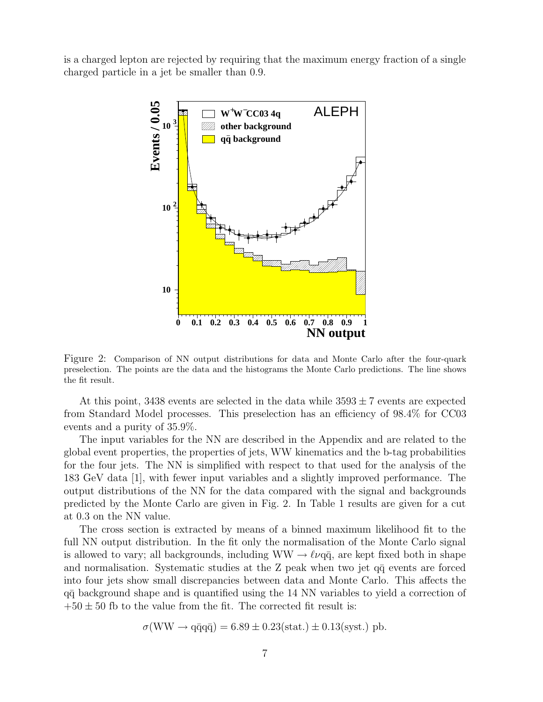is a charged lepton are rejected by requiring that the maximum energy fraction of a single charged particle in a jet be smaller than 0.9.



Figure 2: Comparison of NN output distributions for data and Monte Carlo after the four-quark preselection. The points are the data and the histograms the Monte Carlo predictions. The line shows the fit result.

At this point, 3438 events are selected in the data while  $3593 \pm 7$  events are expected from Standard Model processes. This preselection has an efficiency of 98.4% for CC03 events and a purity of 35.9%.

The input variables for the NN are described in the Appendix and are related to the global event properties, the properties of jets, WW kinematics and the b-tag probabilities for the four jets. The NN is simplified with respect to that used for the analysis of the 183 GeV data [1], with fewer input variables and a slightly improved performance. The output distributions of the NN for the data compared with the signal and backgrounds predicted by the Monte Carlo are given in Fig. 2. In Table 1 results are given for a cut at 0.3 on the NN value.

The cross section is extracted by means of a binned maximum likelihood fit to the full NN output distribution. In the fit only the normalisation of the Monte Carlo signal is allowed to vary; all backgrounds, including  $WW \rightarrow \ell \nu q \bar{q}$ , are kept fixed both in shape and normalisation. Systematic studies at the  $Z$  peak when two jet  $q\bar{q}$  events are forced into four jets show small discrepancies between data and Monte Carlo. This affects the q¯q background shape and is quantified using the 14 NN variables to yield a correction of  $+50 \pm 50$  fb to the value from the fit. The corrected fit result is:

$$
\sigma(WW \rightarrow q\bar{q}q\bar{q}) = 6.89 \pm 0.23 \text{(stat.)} \pm 0.13 \text{(syst.)} \text{ pb.}
$$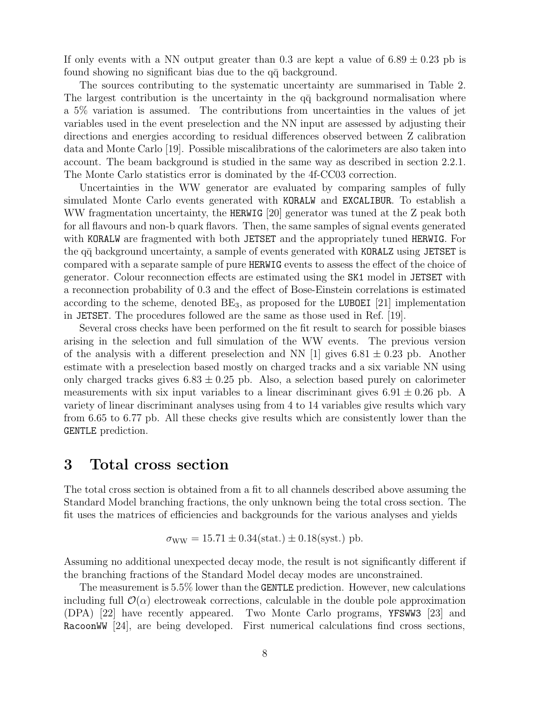If only events with a NN output greater than 0.3 are kept a value of  $6.89 \pm 0.23$  pb is found showing no significant bias due to the  $q\bar{q}$  background.

The sources contributing to the systematic uncertainty are summarised in Table 2. The largest contribution is the uncertainty in the  $q\bar{q}$  background normalisation where a 5% variation is assumed. The contributions from uncertainties in the values of jet variables used in the event preselection and the NN input are assessed by adjusting their directions and energies according to residual differences observed between Z calibration data and Monte Carlo [19]. Possible miscalibrations of the calorimeters are also taken into account. The beam background is studied in the same way as described in section 2.2.1. The Monte Carlo statistics error is dominated by the 4f-CC03 correction.

Uncertainties in the WW generator are evaluated by comparing samples of fully simulated Monte Carlo events generated with KORALW and EXCALIBUR. To establish a WW fragmentation uncertainty, the HERWIG [20] generator was tuned at the Z peak both for all flavours and non-b quark flavors. Then, the same samples of signal events generated with KORALW are fragmented with both JETSET and the appropriately tuned HERWIG. For the q $\bar{q}$  background uncertainty, a sample of events generated with KORALZ using JETSET is compared with a separate sample of pure HERWIG events to assess the effect of the choice of generator. Colour reconnection effects are estimated using the SK1 model in JETSET with a reconnection probability of 0.3 and the effect of Bose-Einstein correlations is estimated according to the scheme, denoted  $BE_3$ , as proposed for the LUBOEI [21] implementation in JETSET. The procedures followed are the same as those used in Ref. [19].

Several cross checks have been performed on the fit result to search for possible biases arising in the selection and full simulation of the WW events. The previous version of the analysis with a different preselection and NN  $[1]$  gives 6.81  $\pm$  0.23 pb. Another estimate with a preselection based mostly on charged tracks and a six variable NN using only charged tracks gives  $6.83 \pm 0.25$  pb. Also, a selection based purely on calorimeter measurements with six input variables to a linear discriminant gives  $6.91 \pm 0.26$  pb. A variety of linear discriminant analyses using from 4 to 14 variables give results which vary from 6.65 to 6.77 pb. All these checks give results which are consistently lower than the GENTLE prediction.

## **3 Total cross section**

The total cross section is obtained from a fit to all channels described above assuming the Standard Model branching fractions, the only unknown being the total cross section. The fit uses the matrices of efficiencies and backgrounds for the various analyses and yields

$$
\sigma_{WW} = 15.71 \pm 0.34 \text{(stat.)} \pm 0.18 \text{(syst.)} \text{ pb.}
$$

Assuming no additional unexpected decay mode, the result is not significantly different if the branching fractions of the Standard Model decay modes are unconstrained.

The measurement is 5.5% lower than the GENTLE prediction. However, new calculations including full  $\mathcal{O}(\alpha)$  electroweak corrections, calculable in the double pole approximation (DPA) [22] have recently appeared. Two Monte Carlo programs, YFSWW3 [23] and RacoonWW [24], are being developed. First numerical calculations find cross sections,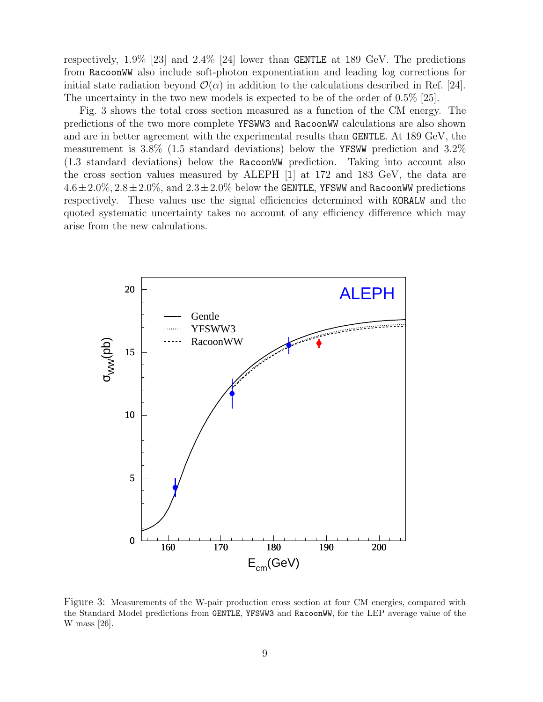respectively, 1.9% [23] and 2.4% [24] lower than GENTLE at 189 GeV. The predictions from RacoonWW also include soft-photon exponentiation and leading log corrections for initial state radiation beyond  $\mathcal{O}(\alpha)$  in addition to the calculations described in Ref. [24]. The uncertainty in the two new models is expected to be of the order of 0.5% [25].

Fig. 3 shows the total cross section measured as a function of the CM energy. The predictions of the two more complete YFSWW3 and RacoonWW calculations are also shown and are in better agreement with the experimental results than GENTLE. At 189 GeV, the measurement is 3.8% (1.5 standard deviations) below the YFSWW prediction and 3.2% (1.3 standard deviations) below the RacoonWW prediction. Taking into account also the cross section values measured by ALEPH [1] at 172 and 183 GeV, the data are  $4.6\pm2.0\%$ ,  $2.8\pm2.0\%$ , and  $2.3\pm2.0\%$  below the GENTLE, YFSWW and RacoonWW predictions respectively. These values use the signal efficiencies determined with KORALW and the quoted systematic uncertainty takes no account of any efficiency difference which may arise from the new calculations.



Figure 3: Measurements of the W-pair production cross section at four CM energies, compared with the Standard Model predictions from GENTLE, YFSWW3 and RacoonWW, for the LEP average value of the W mass [26].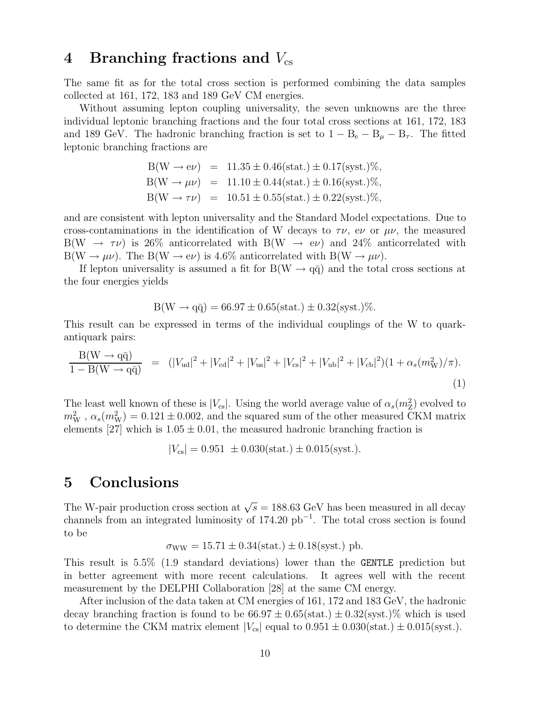## 4 Branching fractions and  $V_{cs}$

The same fit as for the total cross section is performed combining the data samples collected at 161, 172, 183 and 189 GeV CM energies.

Without assuming lepton coupling universality, the seven unknowns are the three individual leptonic branching fractions and the four total cross sections at 161, 172, 183 and 189 GeV. The hadronic branching fraction is set to  $1 - B_e - B_\mu - B_\tau$ . The fitted leptonic branching fractions are

$$
B(W \to e\nu) = 11.35 \pm 0.46 \text{(stat.)} \pm 0.17 \text{(syst.)} \%,
$$
  
\n
$$
B(W \to \mu\nu) = 11.10 \pm 0.44 \text{(stat.)} \pm 0.16 \text{(syst.)} \%,
$$
  
\n
$$
B(W \to \tau\nu) = 10.51 \pm 0.55 \text{(stat.)} \pm 0.22 \text{(syst.)} \%,
$$

and are consistent with lepton universality and the Standard Model expectations. Due to cross-contaminations in the identification of W decays to  $\tau \nu$ , ev or  $\mu \nu$ , the measured  $B(W \rightarrow \tau \nu)$  is 26% anticorrelated with  $B(W \rightarrow e \nu)$  and 24% anticorrelated with  $B(W \to \mu \nu)$ . The  $B(W \to e\nu)$  is 4.6% anticorrelated with  $B(W \to \mu \nu)$ .

If lepton universality is assumed a fit for  $B(W \to q\bar{q})$  and the total cross sections at the four energies yields

$$
B(W \to q\bar{q}) = 66.97 \pm 0.65(\text{stat.}) \pm 0.32(\text{syst.})\%.
$$

This result can be expressed in terms of the individual couplings of the W to quarkantiquark pairs:

$$
\frac{B(W \to q\bar{q})}{1 - B(W \to q\bar{q})} = (|V_{ud}|^2 + |V_{cd}|^2 + |V_{us}|^2 + |V_{cs}|^2 + |V_{ub}|^2 + |V_{cb}|^2)(1 + \alpha_s(m_W^2)/\pi).
$$
\n(1)

The least well known of these is  $|V_{cs}|$ . Using the world average value of  $\alpha_s(m_Z^2)$  evolved to  $m_{\mathrm{W}}^2$ ,  $\alpha_s(m_{\mathrm{W}}^2) = 0.121 \pm 0.002$ , and the squared sum of the other measured CKM matrix elements [27] which is  $1.05 \pm 0.01$ , the measured hadronic branching fraction is

$$
|V_{\rm cs}| = 0.951 \pm 0.030 \text{(stat.)} \pm 0.015 \text{(syst.)}.
$$

## **5 Conclusions**

The W-pair production cross section at  $\sqrt{s} = 188.63$  GeV has been measured in all decay channels from an integrated luminosity of 174.20  $pb^{-1}$ . The total cross section is found to be

$$
\sigma_{WW} = 15.71 \pm 0.34 \text{(stat.)} \pm 0.18 \text{(syst.)} \text{ pb.}
$$

This result is 5.5% (1.9 standard deviations) lower than the GENTLE prediction but in better agreement with more recent calculations. It agrees well with the recent measurement by the DELPHI Collaboration [28] at the same CM energy.

After inclusion of the data taken at CM energies of 161, 172 and 183 GeV, the hadronic decay branching fraction is found to be  $66.97 \pm 0.65$  (stat.)  $\pm 0.32$  (syst.)% which is used to determine the CKM matrix element  $|V_{cs}|$  equal to  $0.951 \pm 0.030(\text{stat.}) \pm 0.015(\text{syst.})$ .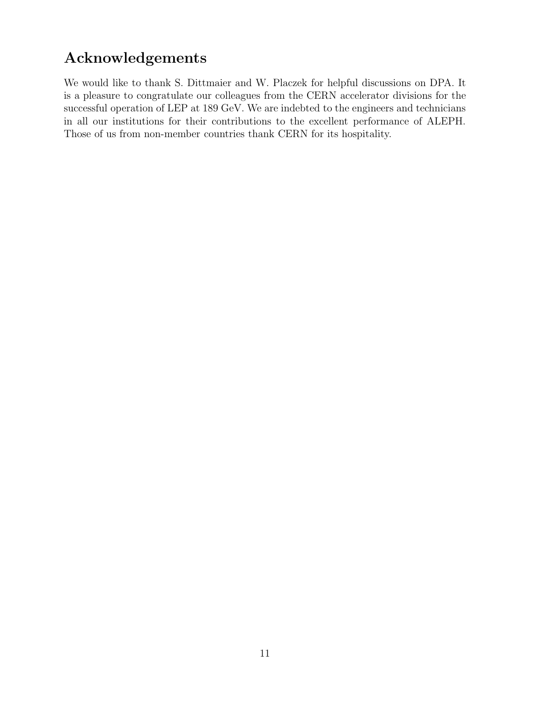# **Acknowledgements**

We would like to thank S. Dittmaier and W. Placzek for helpful discussions on DPA. It is a pleasure to congratulate our colleagues from the CERN accelerator divisions for the successful operation of LEP at 189 GeV. We are indebted to the engineers and technicians in all our institutions for their contributions to the excellent performance of ALEPH. Those of us from non-member countries thank CERN for its hospitality.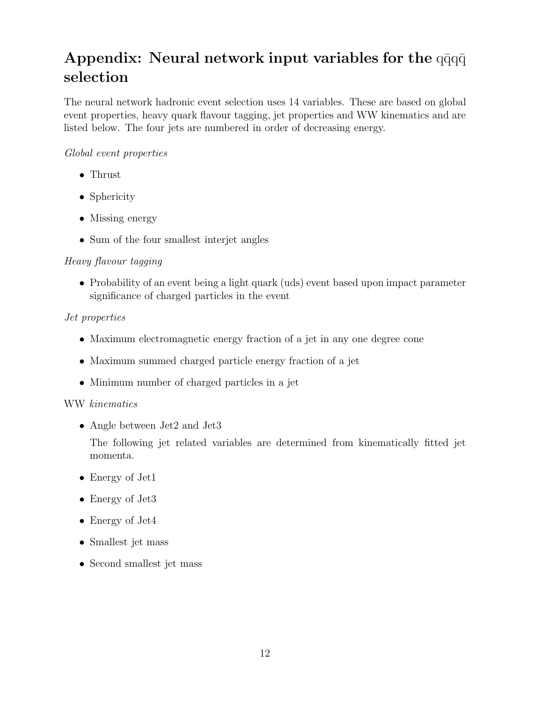# **Appendix: Neural network input variables for the**  $q\bar{q}q\bar{q}$ **selection**

The neural network hadronic event selection uses 14 variables. These are based on global event properties, heavy quark flavour tagging, jet properties and WW kinematics and are listed below. The four jets are numbered in order of decreasing energy.

#### Global event properties

- Thrust
- Sphericity
- Missing energy
- Sum of the four smallest interjet angles

#### Heavy flavour tagging

• Probability of an event being a light quark (uds) event based upon impact parameter significance of charged particles in the event

#### Jet properties

- Maximum electromagnetic energy fraction of a jet in any one degree cone
- Maximum summed charged particle energy fraction of a jet
- Minimum number of charged particles in a jet

#### WW kinematics

• Angle between Jet2 and Jet3

The following jet related variables are determined from kinematically fitted jet momenta.

- Energy of Jet1
- Energy of Jet3
- Energy of Jet4
- Smallest jet mass
- Second smallest jet mass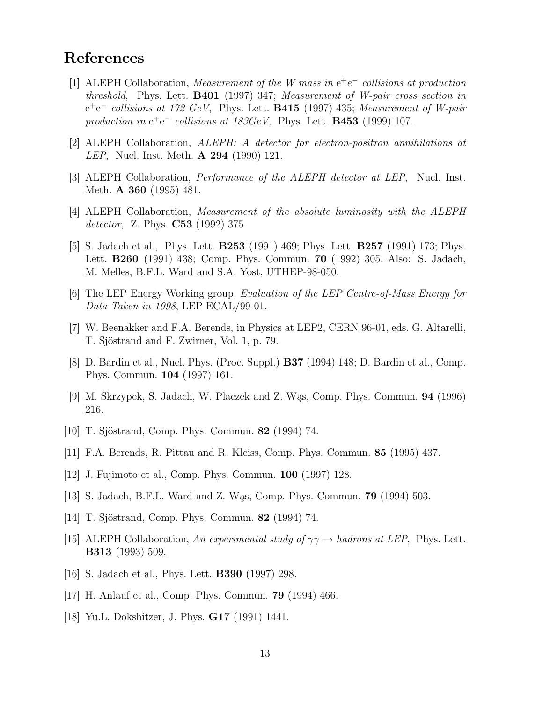# **References**

- [1] ALEPH Collaboration, Measurement of the W mass in e<sup>+</sup>e<sup>−</sup> collisions at production threshold, Phys. Lett. **B401** (1997) 347; Measurement of W-pair cross section in e<sup>+</sup>e<sup>−</sup> collisions at 172 GeV, Phys. Lett. **B415** (1997) 435; Measurement of W-pair production in  $e^+e^-$  collisions at  $183GeV$ , Phys. Lett. **B453** (1999) 107.
- [2] ALEPH Collaboration, ALEPH: A detector for electron-positron annihilations at LEP, Nucl. Inst. Meth. **A 294** (1990) 121.
- [3] ALEPH Collaboration, Performance of the ALEPH detector at LEP, Nucl. Inst. Meth. **A 360** (1995) 481.
- [4] ALEPH Collaboration, Measurement of the absolute luminosity with the ALEPH detector, Z. Phys. **C53** (1992) 375.
- [5] S. Jadach et al., Phys. Lett. **B253** (1991) 469; Phys. Lett. **B257** (1991) 173; Phys. Lett. **B260** (1991) 438; Comp. Phys. Commun. **70** (1992) 305. Also: S. Jadach, M. Melles, B.F.L. Ward and S.A. Yost, UTHEP-98-050.
- [6] The LEP Energy Working group, Evaluation of the LEP Centre-of-Mass Energy for Data Taken in 1998, LEP ECAL/99-01.
- [7] W. Beenakker and F.A. Berends, in Physics at LEP2, CERN 96-01, eds. G. Altarelli, T. Sjöstrand and F. Zwirner, Vol. 1, p. 79.
- [8] D. Bardin et al., Nucl. Phys. (Proc. Suppl.) **B37** (1994) 148; D. Bardin et al., Comp. Phys. Commun. **104** (1997) 161.
- [9] M. Skrzypek, S. Jadach, W. Placzek and Z. W¸as, Comp. Phys. Commun. **94** (1996) 216.
- [10] T. Sjöstrand, Comp. Phys. Commun. **82** (1994) 74.
- [11] F.A. Berends, R. Pittau and R. Kleiss, Comp. Phys. Commun. **85** (1995) 437.
- [12] J. Fujimoto et al., Comp. Phys. Commun. **100** (1997) 128.
- [13] S. Jadach, B.F.L. Ward and Z. W¸as, Comp. Phys. Commun. **79** (1994) 503.
- [14] T. Sjöstrand, Comp. Phys. Commun. **82** (1994) 74.
- [15] ALEPH Collaboration, An experimental study of  $\gamma\gamma \rightarrow$  hadrons at LEP, Phys. Lett. **B313** (1993) 509.
- [16] S. Jadach et al., Phys. Lett. **B390** (1997) 298.
- [17] H. Anlauf et al., Comp. Phys. Commun. **79** (1994) 466.
- [18] Yu.L. Dokshitzer, J. Phys. **G17** (1991) 1441.